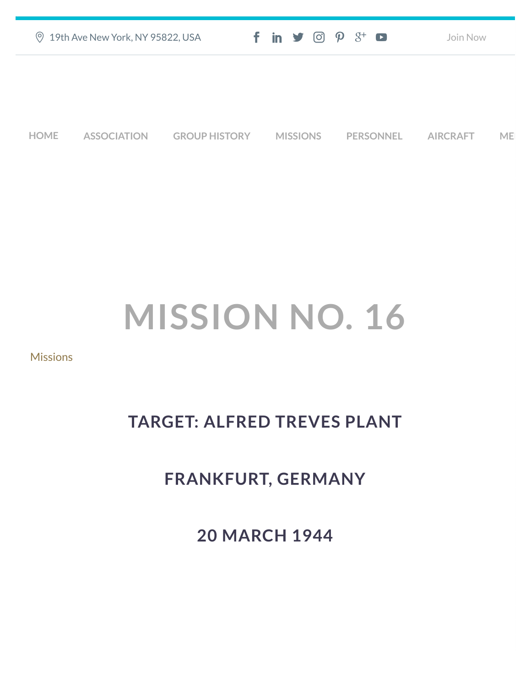|      | <b>9 19th Ave New York, NY 95822, USA</b> |                      |                 | $f$ in $\blacktriangleright$ $\heartsuit$ $\varnothing$ $\varnothing$ $\dashv$ $\heartsuit$ | Join Now        |    |
|------|-------------------------------------------|----------------------|-----------------|---------------------------------------------------------------------------------------------|-----------------|----|
|      |                                           |                      |                 |                                                                                             |                 |    |
|      |                                           |                      |                 |                                                                                             |                 |    |
| HOME | <b>ASSOCIATION</b>                        | <b>GROUP HISTORY</b> | <b>MISSIONS</b> | <b>PERSONNEL</b>                                                                            | <b>AIRCRAFT</b> | ME |

# **MISSION NO. 16**

#### [Missions](https://457thbombgroupassoc.org/category/missions/)

## **TARGET: ALFRED TREVES PLANT**

## **FRANKFURT, GERMANY**

**20 MARCH 1944**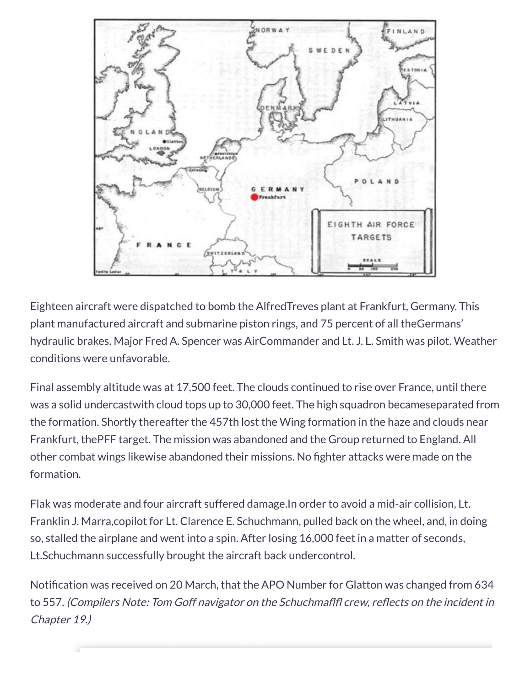

Eighteen aircraft were dispatched to bomb the AlfredTreves plant at Frankfurt, Germany. This plant manufactured aircraft and submarine piston rings, and 75 percent of all theGermans' hydraulic brakes. Major Fred A. Spencer was AirCommander and Lt. J. L. Smith was pilot. Weather conditions were unfavorable.

Final assembly altitude was at 17,500 feet. The clouds continued to rise over France, until there was a solid undercastwith cloud tops up to 30,000 feet. The high squadron becameseparated from the formation. Shortly thereafter the 457th lost the Wing formation in the haze and clouds near Frankfurt, thePFF target. The mission was abandoned and the Group returned to England. All other combat wings likewise abandoned their missions. No fighter attacks were made on the formation.

Flak was moderate and four aircraft suffered damage.In order to avoid a mid-air collision, Lt. Franklin J. Marra,copilot for Lt. Clarence E. Schuchmann, pulled back on the wheel, and, in doing so, stalled the airplane and went into a spin. After losing 16,000 feet in a matter of seconds, Lt.Schuchmann successfully brought the aircraft back undercontrol.

Notification was received on 20 March, that the APO Number for Glatton was changed from 634 to 557. (Compilers Note: Tom Goff navigator on the Schuchmaflfl crew, reflects on the incident in Chapter 19.)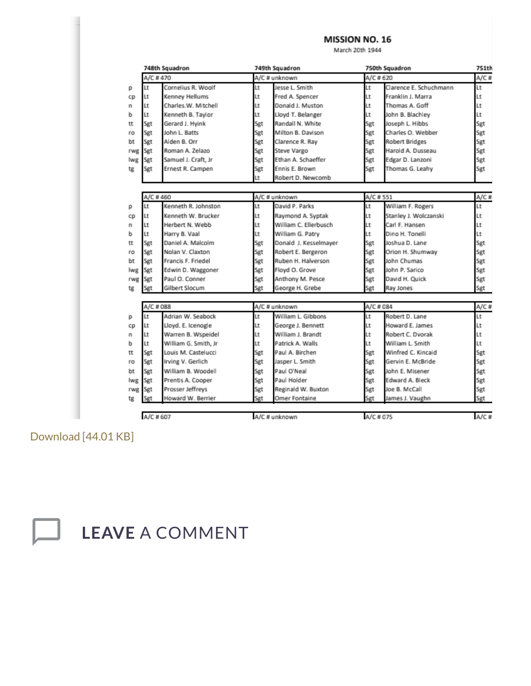#### MISSION NO. 16

March 20th 1944

|     |           | 748th Squadron       |               | 749th Squadron        |            | 750th Squadron         | 751th   |
|-----|-----------|----------------------|---------------|-----------------------|------------|------------------------|---------|
|     | A/C #470  |                      | A/C # unknown |                       | $A/C$ #620 |                        | $A/C$ # |
| р   | Lt        | Cornelius R. Woolf   | Lt            | Jesse L. Smith        | Lt         | Clarence E. Schuchmann | Lt      |
| CD  | Lt        | Kenney Hellums       | Lt            | Fred A. Spencer       | Lt         | Franklin J. Marra      | Lt      |
| n   | Lt        | Charles.W. Mitchell  | Lt            | Donald J. Muston      | Lt         | Thomas A. Goff         | Lt      |
| ь   | Lt        | Kenneth B. Taylor    | Lt            | Lloyd T. Belanger     | Lt         | John B. Blachley       | Lt      |
| tt  | Sgt       | Gerard J. Hyink      | Sgt           | Randall N. White      | Sgt        | Joseph L. Hibbs        | Sgt     |
| ro  | Sgt       | John L. Batts        | Sgt           | Milton B. Davison     | Sgt        | Charles O. Webber      | Sgt     |
| bt  | Sgt       | Alden B. Orr         | Sgt           | Clarence R. Ray       | Sgt        | <b>Robert Bridges</b>  | Sgt     |
| rwg | Sgt       | Roman A. Zelazo      | Sgt           | Steve Vargo           | Sgt        | Harold A. Dusseau      | Sgt     |
| lwg | Sgt       | Samuel J. Craft, Jr  | Sgt           | Ethan A. Schaeffer    | Sgt        | Edgar D. Lanzoni       | Sgt     |
| tg  | Sgt       | Ernest R. Campen     | Sgt           | Ennis E. Brown        | Sgt        | Thomas G. Leahy        | Sgt     |
|     |           |                      | Lt            | Robert D. Newcomb     |            |                        |         |
|     |           |                      |               |                       |            |                        |         |
|     | A/C #460  |                      |               | A/C # unknown         | A/C #551   |                        | A/C#    |
| р   | Lt        | Kenneth R. Johnston  | Lt            | David P. Parks        | Lt         | William F. Rogers      | Lt      |
| cp  | Lt        | Kenneth W. Brucker   | Lt            | Raymond A. Syptak     | Lt         | Stanley J. Wolczanski  | Lt      |
| n   | Lt        | Herbert N. Webb      | Lt            | William C. Ellerbusch | Lt         | Carl F. Hansen         | Lt      |
| ь   | Lt        | Harry B. Vaal        | Lt            | William G. Patry      | Lt         | Dino H. Tonelli        | Lt      |
| tt  | Sgt       | Daniel A. Malcolm    | Sgt           | Donald J. Kesselmayer | Sgt        | Joshua D. Lane         | Sgt     |
| ro  | Sgt       | Nolan V. Claxton     | Sgt           | Robert E. Bergeron    | Sgt        | Orion H. Shumway       | Sgt     |
| bt  | Sgt       | Francis F. Friedel   | Sgt           | Ruben H. Halverson    | Sgt        | John Chumas            | Sgt     |
| lwg | Sgt       | Edwin D. Waggoner    | Sgt           | Floyd O. Grove        | Sgt        | John P. Sarico         | Sgt     |
| rwg | Sgt       | Paul O. Conner       | Sgt           | Anthony M. Pesce      | Sgt        | David H. Quick         | Sgt     |
| tg  | Sgt       | Gilbert Slocum       | Sgt           | George H. Grebe       | Sgt        | Ray Jones              | Sgt     |
|     |           |                      |               |                       |            |                        |         |
|     | A/C # 088 |                      |               | A/C # unknown         | A/C # 084  |                        | $A/C$ # |
| р   | Lt        | Adrian W. Seabock    | Lt            | William L. Gibbons    | Lt         | Robert D. Lane         | Lt      |
| cp  | Lt        | Lloyd. E. Icenogle   | Lt            | George J. Bennett     | Lt         | Howard E. James        | Lt      |
| n   | Lt        | Warren B. Wspeidel   | Lt            | William J. Brandt     | Lt         | Robert C. Dvorak       | Lt      |
| ь   | Lt        | William G. Smith, Jr | Lt            | Patrick A. Walls      | Lt         | William L. Smith       | Lt      |
| tt  | Sgt       | Louis M. Castelucci  | Sgt           | Paul A. Birchen       | Sgt        | Winfred C. Kincaid     | Sgt     |
| ro  | Sgt       | Irving V. Gerlich    | Sgt           | Jasper L. Smith       | Sgt        | Gervin E. McBride      | Sgt     |
| bt  | Sgt       | William B. Woodell   | Sgt           | Paul O'Neal           | Sgt        | John E. Misener        | Sgt     |
| lwg | Sgt       | Prentis A. Cooper    | Sgt           | Paul Holder           | Sgt        | Edward A. Bleck        | Sgt     |
| rwg | Sgt       | Prosser Jeffreys     | Sgt           | Reginald W. Buxton    | Sgt        | Joe B. McCall          | Sgt     |
| tg  | Sgt       | Howard W. Berrier    | Set           | Omer Fontaine         | Sgt        | James J. Vaughn        | Sgt     |
|     | A/C # 607 |                      |               | A/C # unknown         | A/C # 075  |                        | $A/C$ # |
|     |           |                      |               |                       |            |                        |         |

[Download \[44.01 KB\]](https://457thbombgroupassoc.org/wp-content/uploads/2019/02/Mission-no.-16-compressed.pdf)

**LEAVE** A COMMENT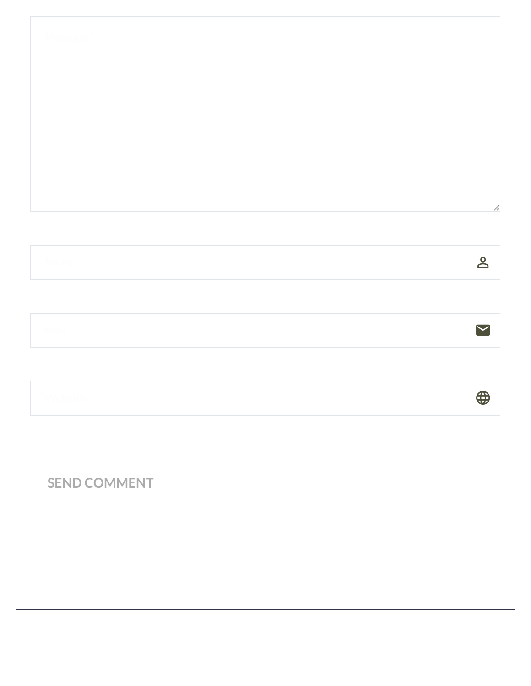| vlessage " |  |                         |
|------------|--|-------------------------|
|            |  |                         |
|            |  |                         |
|            |  |                         |
|            |  |                         |
|            |  | h                       |
|            |  | $\overline{\mathsf{d}}$ |

 $\bigoplus$ 

Mail the contract of the contract of  $\sim$ 

Website  $\bigoplus$ 

**SEND COMMENT**